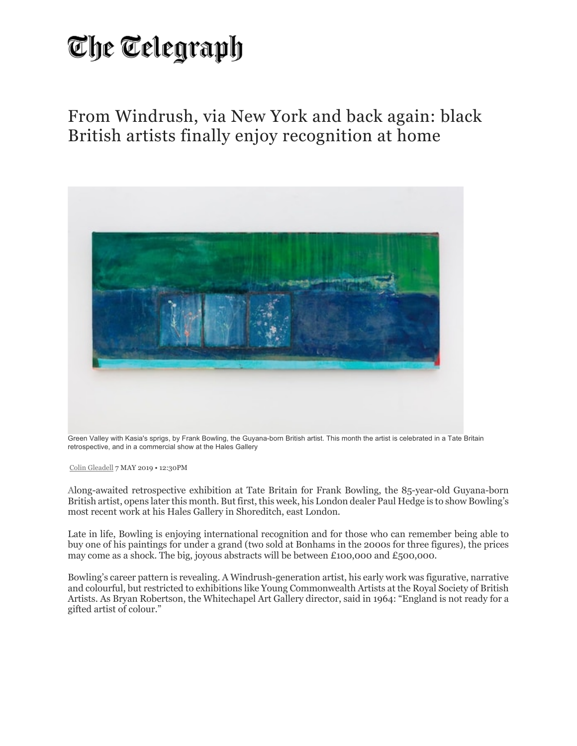## The Telegraph

From Windrush, via New York and back again: black British artists finally enjoy recognition at home



Green Valley with Kasia's sprigs, by Frank Bowling, the Guyana-born British artist. This month the artist is celebrated in a Tate Britain retrospective, and in a commercial show at the Hales Gallery

Colin Gleadell 7 MAY 2019 • 12:30PM

Along-awaited retrospective exhibition at Tate Britain for Frank Bowling, the 85-year-old Guyana-born British artist, opens later this month. But first, this week, his London dealer Paul Hedge is to show Bowling's most recent work at his Hales Gallery in Shoreditch, east London.

Late in life, Bowling is enjoying international recognition and for those who can remember being able to buy one of his paintings for under a grand (two sold at Bonhams in the 2000s for three figures), the prices may come as a shock. The big, joyous abstracts will be between £100,000 and £500,000.

Bowling's career pattern is revealing. A Windrush-generation artist, his early work was figurative, narrative and colourful, but restricted to exhibitions like Young Commonwealth Artists at the Royal Society of British Artists. As Bryan Robertson, the Whitechapel Art Gallery director, said in 1964: "England is not ready for a gifted artist of colour."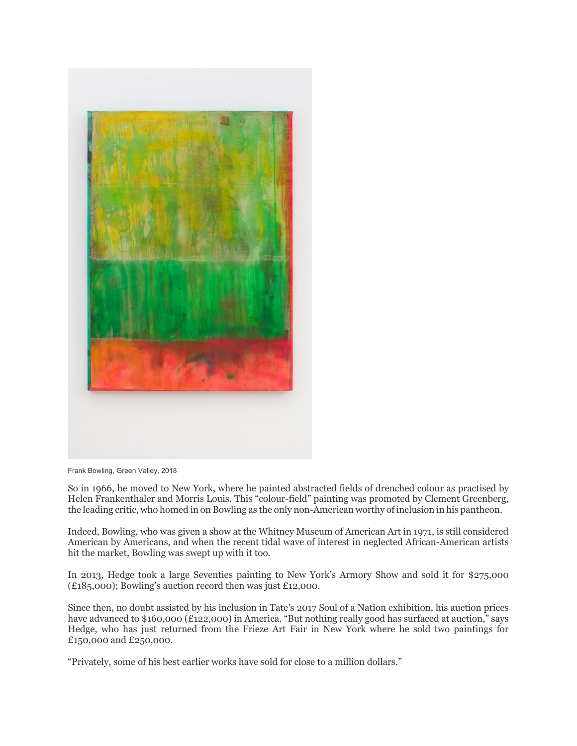

Frank Bowling, Green Valley, 2018

So in 1966, he moved to New York, where he painted abstracted fields of drenched colour as practised by Helen Frankenthaler and Morris Louis. This "colour-field" painting was promoted by Clement Greenberg, the leading critic, who homed in on Bowling as the only non-American worthy of inclusion in his pantheon.

Indeed, Bowling, who was given a show at the Whitney Museum of American Art in 1971, is still considered American by Americans, and when the recent tidal wave of interest in neglected African-American artists hit the market, Bowling was swept up with it too.

In 2013, Hedge took a large Seventies painting to New York's Armory Show and sold it for \$275,000 (£185,000); Bowling's auction record then was just £12,000.

Since then, no doubt assisted by his inclusion in Tate's 2017 Soul of a Nation exhibition, his auction prices have advanced to \$160,000 (£122,000) in America. "But nothing really good has surfaced at auction," says Hedge, who has just returned from the Frieze Art Fair in New York where he sold two paintings for £150,000 and £250,000.

"Privately, some of his best earlier works have sold for close to a million dollars."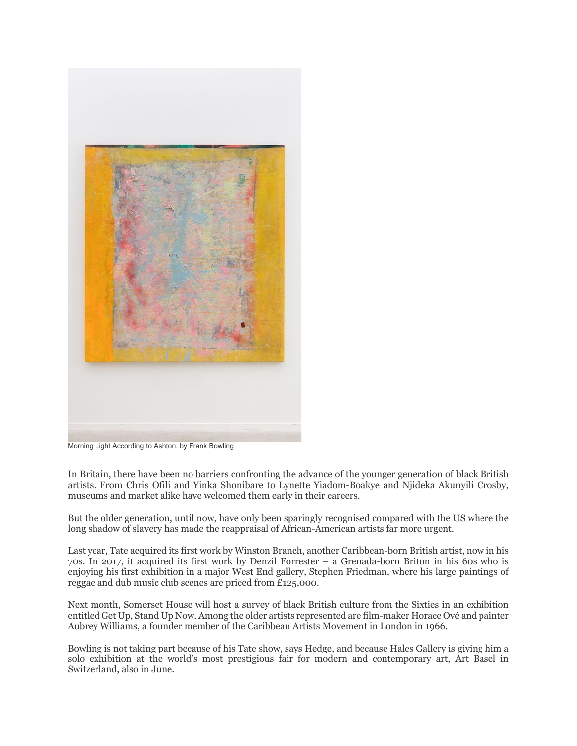

Morning Light According to Ashton, by Frank Bowling

In Britain, there have been no barriers confronting the advance of the younger generation of black British artists. From Chris Ofili and Yinka Shonibare to Lynette Yiadom-Boakye and Njideka Akunyili Crosby, museums and market alike have welcomed them early in their careers.

But the older generation, until now, have only been sparingly recognised compared with the US where the long shadow of slavery has made the reappraisal of African-American artists far more urgent.

Last year, Tate acquired its first work by Winston Branch, another Caribbean-born British artist, now in his 70s. In 2017, it acquired its first work by Denzil Forrester – a Grenada-born Briton in his 60s who is enjoying his first exhibition in a major West End gallery, Stephen Friedman, where his large paintings of reggae and dub music club scenes are priced from £125,000.

Next month, Somerset House will host a survey of black British culture from the Sixties in an exhibition entitled Get Up, Stand Up Now. Among the older artists represented are film-maker Horace Ové and painter Aubrey Williams, a founder member of the Caribbean Artists Movement in London in 1966.

Bowling is not taking part because of his Tate show, says Hedge, and because Hales Gallery is giving him a solo exhibition at the world's most prestigious fair for modern and contemporary art, Art Basel in Switzerland, also in June.